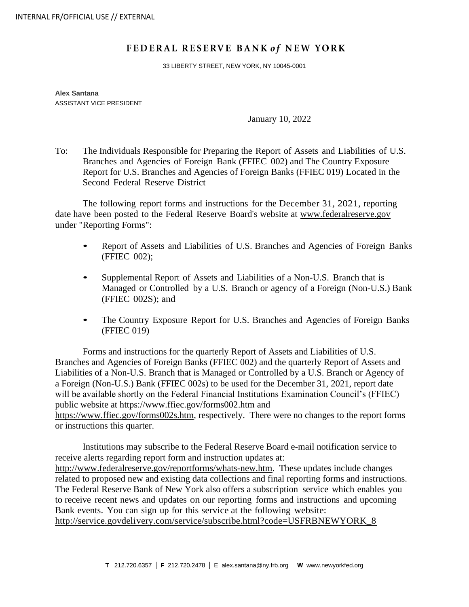## FEDERAL RESERVE BANK of NEW YORK

33 LIBERTY STREET, NEW YORK, NY 10045-0001

**Alex Santana** ASSISTANT VICE PRESIDENT

January 10, 2022

To: The Individuals Responsible for Preparing the Report of Assets and Liabilities of U.S. Branches and Agencies of Foreign Bank (FFIEC 002) and The Country Exposure Report for U.S. Branches and Agencies of Foreign Banks (FFIEC 019) Located in the Second Federal Reserve District

The following report forms and instructions for the December 31, 2021, reporting date have been posted to the Federal Reserve Board's website at [www.federalreserve.gov](https://www.federalreserve.gov/apps/reportforms/default.aspx) under "Reporting Forms":

- Report of Assets and Liabilities of U.S. Branches and Agencies of Foreign Banks (FFIEC 002);
- Supplemental Report of Assets and Liabilities of <sup>a</sup> Non-U.S. Branch that is Managed or Controlled by a U.S. Branch or agency of a Foreign (Non-U.S.) Bank (FFIEC 002S); and
- The Country Exposure Report for U.S. Branches and Agencies of Foreign Banks (FFIEC 019)

Forms and instructions for the quarterly Report of Assets and Liabilities of U.S. Branches and Agencies of Foreign Banks (FFIEC 002) and the quarterly Report of Assets and Liabilities of a Non-U.S. Branch that is Managed or Controlled by a U.S. Branch or Agency of a Foreign (Non-U.S.) Bank (FFIEC 002s) to be used for the December 31, 2021, report date will be available shortly on the Federal Financial Institutions Examination Council's (FFIEC) public website at<https://www.ffiec.gov/forms002.htm> and [https://www.ffiec.gov/forms002s.htm,](https://www.ffiec.gov/forms002s.htm) respectively. There were no changes to the report forms or instructions this quarter.

Institutions may subscribe to the Federal Reserve Board e-mail notification service to receive alerts regarding report form and instruction updates at: [http://www.federalreserve.gov/reportforms/whats-new.htm.](http://www.federalreserve.gov/reportforms/whats-new.htm) These updates include changes related to proposed new and existing data collections and final reporting forms and instructions. The Federal Reserve Bank of New York also offers a subscription service which enables you to receive recent news and updates on our reporting forms and instructions and upcoming Bank events. You can sign up for this service at the following website: [http://service.govdelivery.com/service/subscribe.html?code=USFRBNEWYORK\\_8](http://service.govdelivery.com/service/subscribe.html?code=USFRBNEWYORK_8)